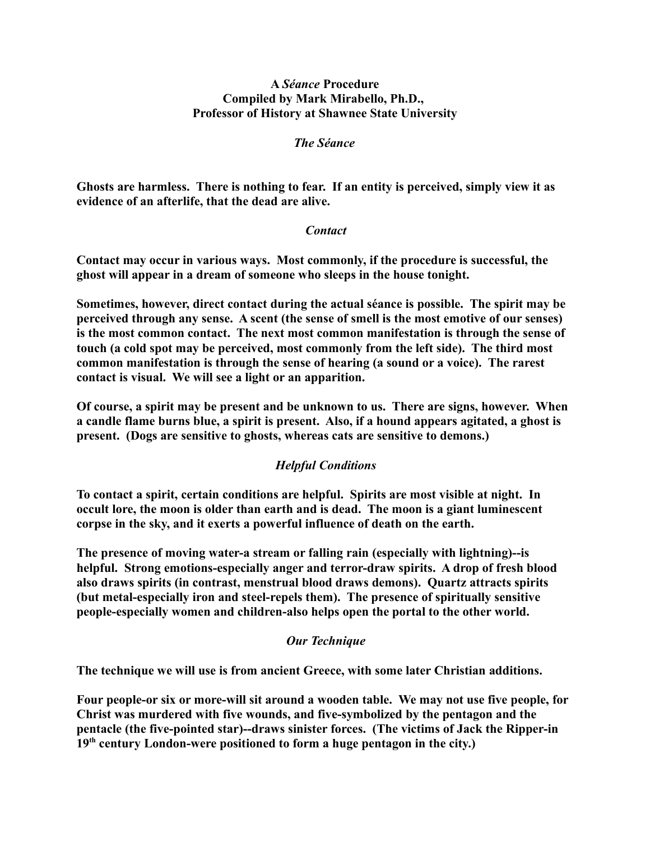#### **A** *Séance* **Procedure Compiled by Mark Mirabello, Ph.D., Professor of History at Shawnee State University**

### *The Séance*

**Ghosts are harmless. There is nothing to fear. If an entity is perceived, simply view it as evidence of an afterlife, that the dead are alive.**

### *Contact*

**Contact may occur in various ways. Most commonly, if the procedure is successful, the ghost will appear in a dream of someone who sleeps in the house tonight.**

**Sometimes, however, direct contact during the actual séance is possible. The spirit may be perceived through any sense. A scent (the sense of smell is the most emotive of our senses) is the most common contact. The next most common manifestation is through the sense of touch (a cold spot may be perceived, most commonly from the left side). The third most common manifestation is through the sense of hearing (a sound or a voice). The rarest contact is visual. We will see a light or an apparition.**

**Of course, a spirit may be present and be unknown to us. There are signs, however. When a candle flame burns blue, a spirit is present. Also, if a hound appears agitated, a ghost is present. (Dogs are sensitive to ghosts, whereas cats are sensitive to demons.)**

# *Helpful Conditions*

**To contact a spirit, certain conditions are helpful. Spirits are most visible at night. In occult lore, the moon is older than earth and is dead. The moon is a giant luminescent corpse in the sky, and it exerts a powerful influence of death on the earth.**

**The presence of moving water-a stream or falling rain (especially with lightning)--is helpful. Strong emotions-especially anger and terror-draw spirits. A drop of fresh blood also draws spirits (in contrast, menstrual blood draws demons). Quartz attracts spirits (but metal-especially iron and steel-repels them). The presence of spiritually sensitive people-especially women and children-also helps open the portal to the other world.**

# *Our Technique*

**The technique we will use is from ancient Greece, with some later Christian additions.**

**Four people-or six or more-will sit around a wooden table. We may not use five people, for Christ was murdered with five wounds, and five-symbolized by the pentagon and the pentacle (the five-pointed star)--draws sinister forces. (The victims of Jack the Ripper-in 19th century London-were positioned to form a huge pentagon in the city.)**